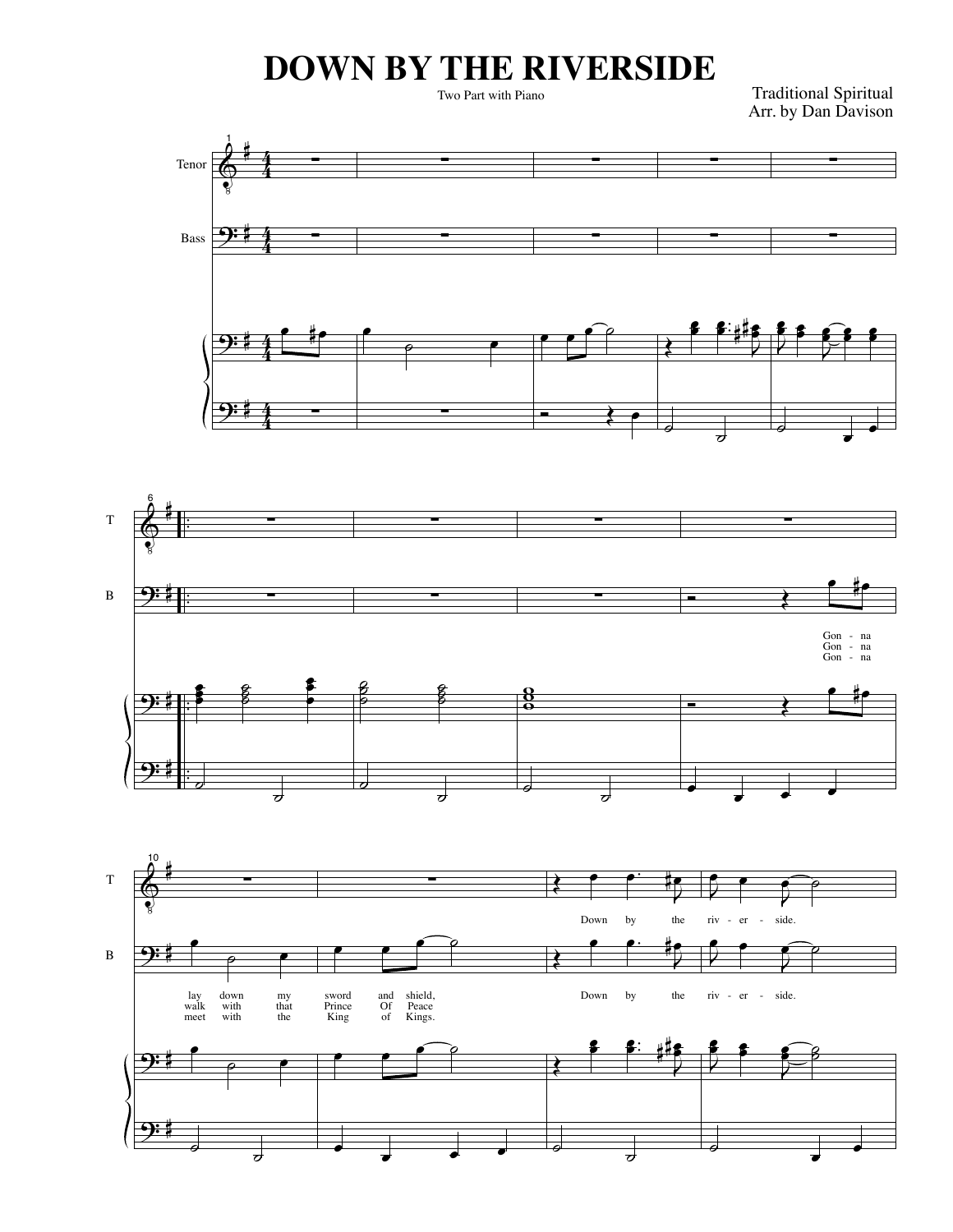## **DOWN BY THE RIVERSIDE**

Two Part with Piano

Traditional Spiritual Arr. by Dan Davison





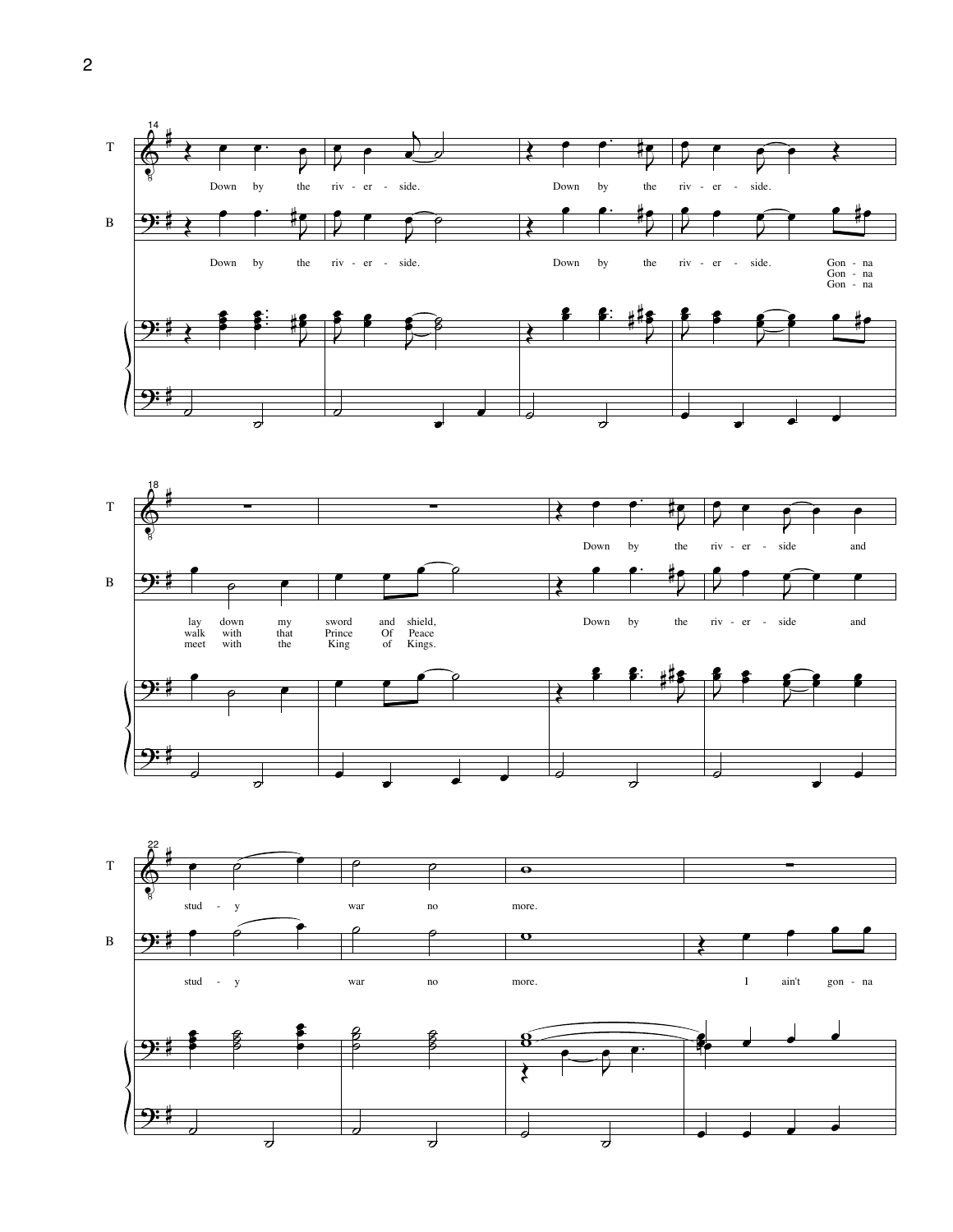



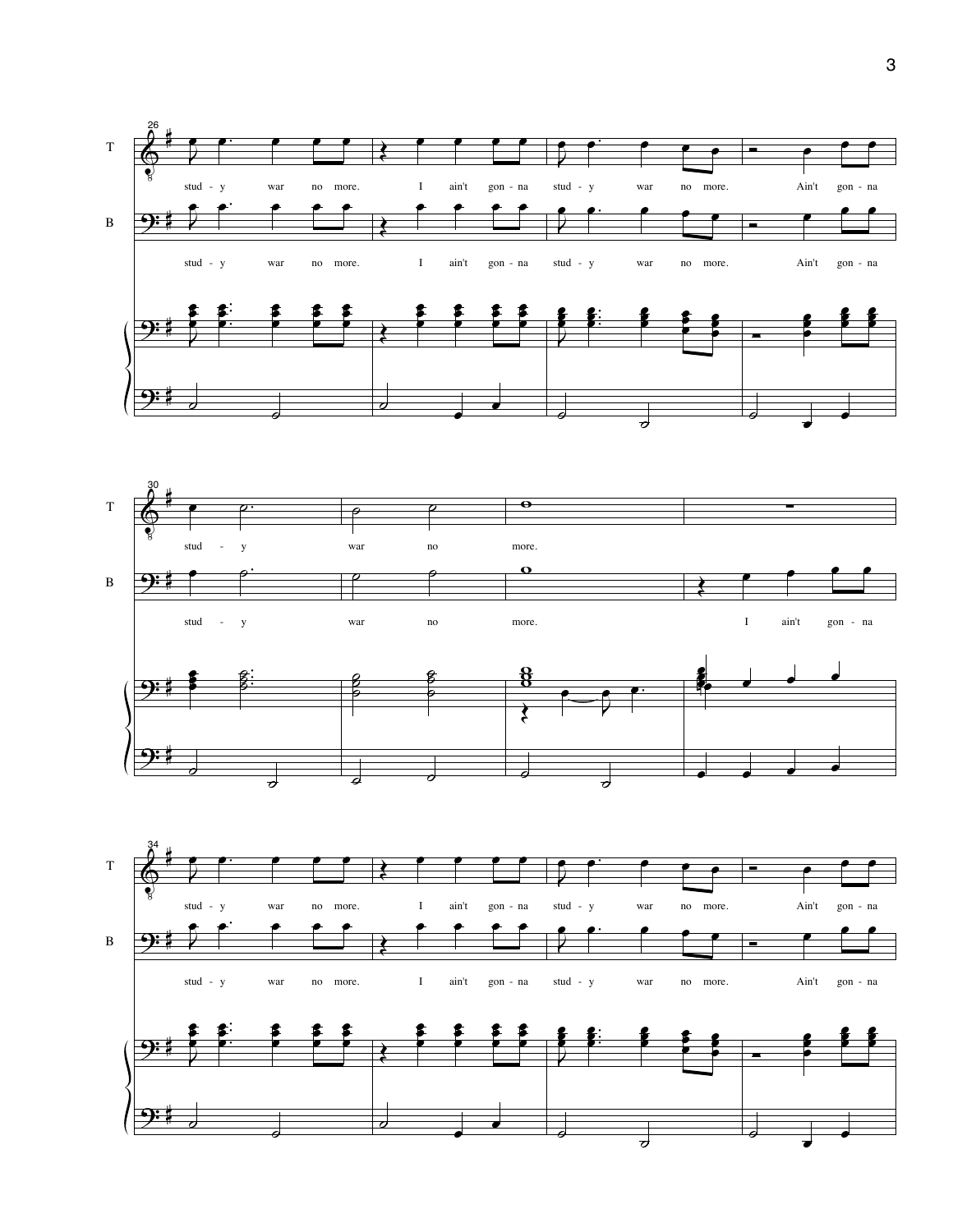